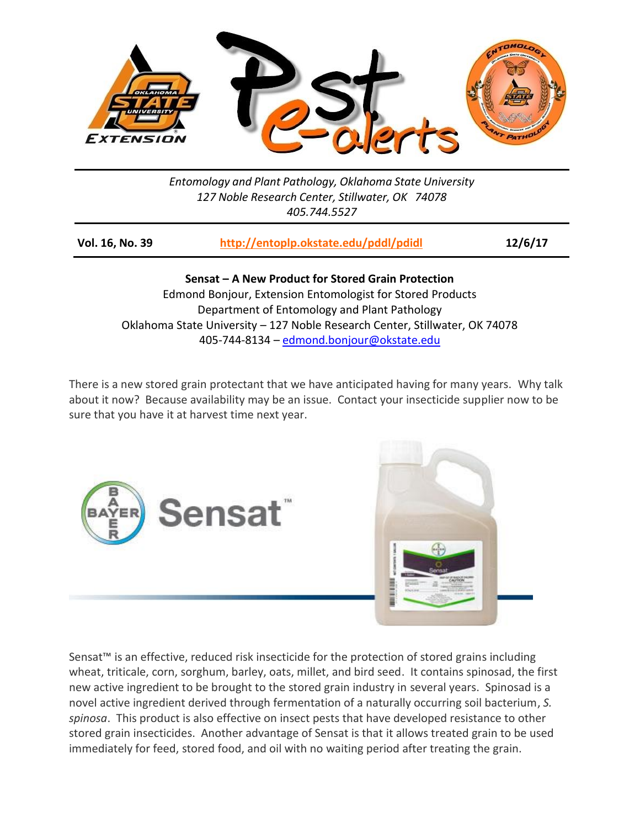

*Entomology and Plant Pathology, Oklahoma State University 127 Noble Research Center, Stillwater, OK 74078 405.744.5527*

| <b>Vol. 16, No. 39</b> | http://entoplp.okstate.edu/pddl/pdidl | 12/6/17 |
|------------------------|---------------------------------------|---------|
|                        |                                       |         |

**Sensat – A New Product for Stored Grain Protection** Edmond Bonjour, Extension Entomologist for Stored Products Department of Entomology and Plant Pathology Oklahoma State University – 127 Noble Research Center, Stillwater, OK 74078 405-744-8134 – [edmond.bonjour@okstate.edu](mailto:edmond.bonjour@okstate.edu)

There is a new stored grain protectant that we have anticipated having for many years. Why talk about it now? Because availability may be an issue. Contact your insecticide supplier now to be sure that you have it at harvest time next year.



Sensat™ is an effective, reduced risk insecticide for the protection of stored grains including wheat, triticale, corn, sorghum, barley, oats, millet, and bird seed. It contains spinosad, the first new active ingredient to be brought to the stored grain industry in several years. Spinosad is a novel active ingredient derived through fermentation of a naturally occurring soil bacterium, *S. spinosa*. This product is also effective on insect pests that have developed resistance to other stored grain insecticides. Another advantage of Sensat is that it allows treated grain to be used immediately for feed, stored food, and oil with no waiting period after treating the grain.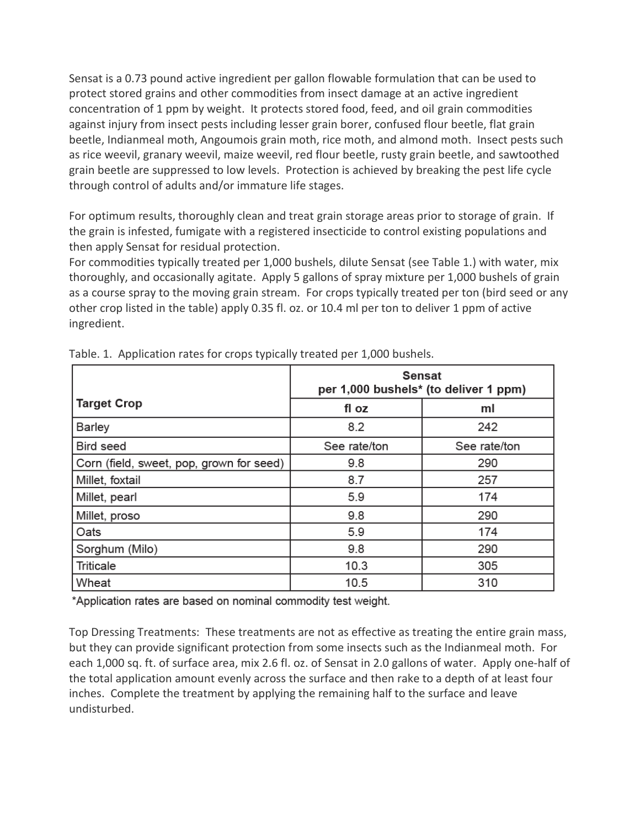Sensat is a 0.73 pound active ingredient per gallon flowable formulation that can be used to protect stored grains and other commodities from insect damage at an active ingredient concentration of 1 ppm by weight. It protects stored food, feed, and oil grain commodities against injury from insect pests including lesser grain borer, confused flour beetle, flat grain beetle, Indianmeal moth, Angoumois grain moth, rice moth, and almond moth. Insect pests such as rice weevil, granary weevil, maize weevil, red flour beetle, rusty grain beetle, and sawtoothed grain beetle are suppressed to low levels. Protection is achieved by breaking the pest life cycle through control of adults and/or immature life stages.

For optimum results, thoroughly clean and treat grain storage areas prior to storage of grain. If the grain is infested, fumigate with a registered insecticide to control existing populations and then apply Sensat for residual protection.

For commodities typically treated per 1,000 bushels, dilute Sensat (see Table 1.) with water, mix thoroughly, and occasionally agitate. Apply 5 gallons of spray mixture per 1,000 bushels of grain as a course spray to the moving grain stream. For crops typically treated per ton (bird seed or any other crop listed in the table) apply 0.35 fl. oz. or 10.4 ml per ton to deliver 1 ppm of active ingredient.

|                                          | <b>Sensat</b><br>per 1,000 bushels* (to deliver 1 ppm) |              |
|------------------------------------------|--------------------------------------------------------|--------------|
| <b>Target Crop</b>                       | fl oz                                                  | ml           |
| <b>Barley</b>                            | 8.2                                                    | 242          |
| Bird seed                                | See rate/ton                                           | See rate/ton |
| Corn (field, sweet, pop, grown for seed) | 9.8                                                    | 290          |
| Millet, foxtail                          | 8.7                                                    | 257          |
| Millet, pearl                            | 5.9                                                    | 174          |
| Millet, proso                            | 9.8                                                    | 290          |
| Oats                                     | 5.9                                                    | 174          |
| Sorghum (Milo)                           | 9.8                                                    | 290          |
| <b>Triticale</b>                         | 10.3                                                   | 305          |
| Wheat                                    | 10.5                                                   | 310          |

Table. 1. Application rates for crops typically treated per 1,000 bushels.

\*Application rates are based on nominal commodity test weight.

Top Dressing Treatments: These treatments are not as effective as treating the entire grain mass, but they can provide significant protection from some insects such as the Indianmeal moth. For each 1,000 sq. ft. of surface area, mix 2.6 fl. oz. of Sensat in 2.0 gallons of water. Apply one-half of the total application amount evenly across the surface and then rake to a depth of at least four inches. Complete the treatment by applying the remaining half to the surface and leave undisturbed.